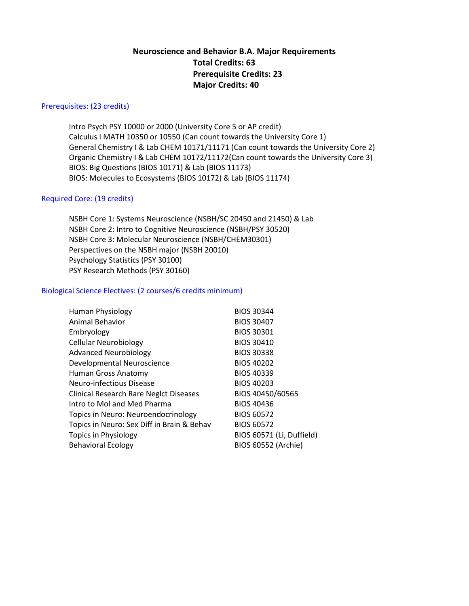# **Neuroscience and Behavior B.A. Major Requirements Total Credits: 63 Prerequisite Credits: 23 Major Credits: 40**

## Prerequisites: (23 credits)

Intro Psych PSY 10000 or 2000 (University Core 5 or AP credit) Calculus I MATH 10350 or 10550 (Can count towards the University Core 1) General Chemistry I & Lab CHEM 10171/11171 (Can count towards the University Core 2) Organic Chemistry I & Lab CHEM 10172/11172(Can count towards the University Core 3) BIOS: Big Questions (BIOS 10171) & Lab (BIOS 11173) BIOS: Molecules to Ecosystems (BIOS 10172) & Lab (BIOS 11174)

### Required Core: (19 credits)

NSBH Core 1: Systems Neuroscience (NSBH/SC 20450 and 21450) & Lab NSBH Core 2: Intro to Cognitive Neuroscience (NSBH/PSY 30520) NSBH Core 3: Molecular Neuroscience (NSBH/CHEM30301) Perspectives on the NSBH major (NSBH 20010) Psychology Statistics (PSY 30100) PSY Research Methods (PSY 30160)

### Biological Science Electives: (2 courses/6 credits minimum)

| <b>Human Physiology</b>                       | <b>BIOS 30344</b>          |
|-----------------------------------------------|----------------------------|
| Animal Behavior                               | <b>BIOS 30407</b>          |
| Embryology                                    | <b>BIOS 30301</b>          |
| <b>Cellular Neurobiology</b>                  | <b>BIOS 30410</b>          |
| <b>Advanced Neurobiology</b>                  | <b>BIOS 30338</b>          |
| Developmental Neuroscience                    | <b>BIOS 40202</b>          |
| Human Gross Anatomy                           | <b>BIOS 40339</b>          |
| Neuro-infectious Disease                      | <b>BIOS 40203</b>          |
| <b>Clinical Research Rare Neglct Diseases</b> | BIOS 40450/60565           |
| Intro to Mol and Med Pharma                   | <b>BIOS 40436</b>          |
| Topics in Neuro: Neuroendocrinology           | <b>BIOS 60572</b>          |
| Topics in Neuro: Sex Diff in Brain & Behav    | <b>BIOS 60572</b>          |
| <b>Topics in Physiology</b>                   | BIOS 60571 (Li, Duffield)  |
| <b>Behavioral Ecology</b>                     | <b>BIOS 60552 (Archie)</b> |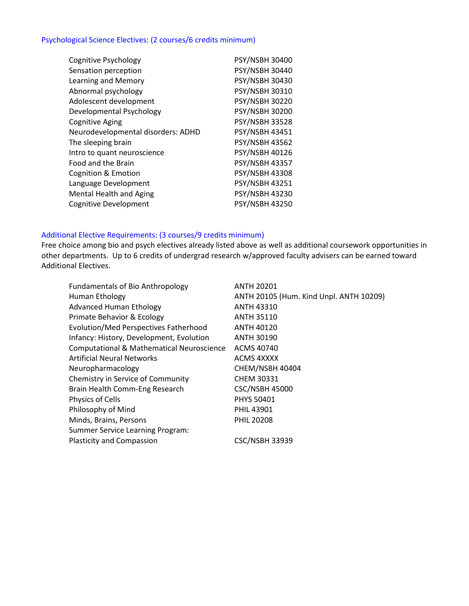# Psychological Science Electives: (2 courses/6 credits minimum)

| <b>Cognitive Psychology</b>        | PSY/NSBH 30400        |
|------------------------------------|-----------------------|
| Sensation perception               | <b>PSY/NSBH 30440</b> |
| Learning and Memory                | <b>PSY/NSBH 30430</b> |
| Abnormal psychology                | <b>PSY/NSBH 30310</b> |
| Adolescent development             | <b>PSY/NSBH 30220</b> |
| Developmental Psychology           | <b>PSY/NSBH 30200</b> |
| <b>Cognitive Aging</b>             | <b>PSY/NSBH 33528</b> |
| Neurodevelopmental disorders: ADHD | <b>PSY/NSBH 43451</b> |
| The sleeping brain                 | <b>PSY/NSBH 43562</b> |
| Intro to quant neuroscience        | <b>PSY/NSBH 40126</b> |
| Food and the Brain                 | <b>PSY/NSBH 43357</b> |
| Cognition & Emotion                | <b>PSY/NSBH 43308</b> |
| Language Development               | PSY/NSBH 43251        |
| <b>Mental Health and Aging</b>     | <b>PSY/NSBH 43230</b> |
| <b>Cognitive Development</b>       | <b>PSY/NSBH 43250</b> |

### Additional Elective Requirements: (3 courses/9 credits minimum)

Free choice among bio and psych electives already listed above as well as additional coursework opportunities in other departments. Up to 6 credits of undergrad research w/approved faculty advisers can be earned toward Additional Electives.

| <b>Fundamentals of Bio Anthropology</b>              | <b>ANTH 20201</b>                       |
|------------------------------------------------------|-----------------------------------------|
| Human Ethology                                       | ANTH 20105 (Hum. Kind Unpl. ANTH 10209) |
| <b>Advanced Human Ethology</b>                       | <b>ANTH 43310</b>                       |
| Primate Behavior & Ecology                           | <b>ANTH 35110</b>                       |
| <b>Evolution/Med Perspectives Fatherhood</b>         | <b>ANTH 40120</b>                       |
| Infancy: History, Development, Evolution             | <b>ANTH 30190</b>                       |
| <b>Computational &amp; Mathematical Neuroscience</b> | ACMS 40740                              |
| <b>Artificial Neural Networks</b>                    | ACMS 4XXXX                              |
| Neuropharmacology                                    | CHEM/NSBH 40404                         |
| Chemistry in Service of Community                    | <b>CHEM 30331</b>                       |
| Brain Health Comm-Eng Research                       | <b>CSC/NSBH 45000</b>                   |
| <b>Physics of Cells</b>                              | <b>PHYS 50401</b>                       |
| Philosophy of Mind                                   | <b>PHIL 43901</b>                       |
| Minds, Brains, Persons                               | <b>PHIL 20208</b>                       |
| <b>Summer Service Learning Program:</b>              |                                         |
| <b>Plasticity and Compassion</b>                     | <b>CSC/NSBH 33939</b>                   |